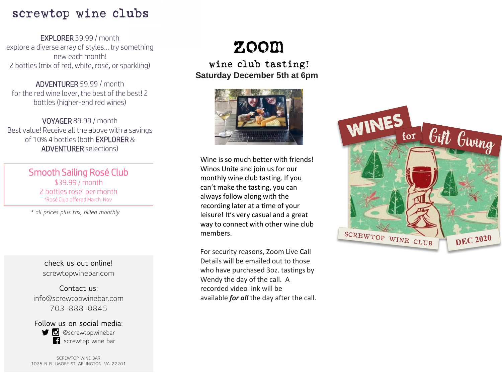### screwtop wine clubs

EXPLORER 39.99 / month explore a diverse array of styles… try something new each month! 2 bottles (mix of red, white, rosé, or sparkling)

ADVENTURER 59.99 / month for the red wine lover, the best of the best! 2 bottles (higher-end red wines)

VOYAGER 89.99 / month Best value! Receive all the above with a savings of 10% 4 bottles (both EXPLORER & ADVENTURER selections)

> Smooth Sailing Rosé Club \$39.99 / month 2 bottles rose' per month \*Rosé Club offered March-Nov

*\* all prices plus tax, billed monthly*

**check us out online!** screwtopwinebar.com

**Contact us:** info@screwtopwinebar.com 703-888-0845

**Follow us on social media: D** @screwtopwinebar screwtop wine bar

SCREWTOP WINE BAR 1025 N FILLMORE ST. ARLINGTON, VA 22201

## zoom

wine club tasting! **Saturday December 5th at 6pm**



Wine is so much better with friends! Winos Unite and join us for our monthly wine club tasting. If you can't make the tasting, you can always follow along with the recording later at a time of your leisure! It's very casual and a great way to connect with other wine club members.

For security reasons, Zoom Live Call Details will be emailed out to those who have purchased 3oz. tastings by Wendy the day of the call. A recorded video link will be available *for all* the day after the call.